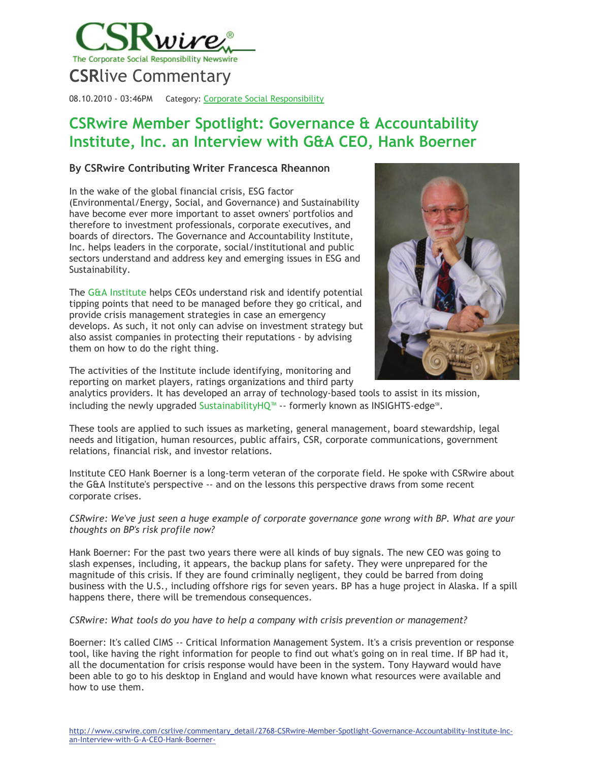

08.10.2010 - 03:46PM Category: Corporate Social [Responsibility](http://www.csrwire.com/csrlive/?category=23)

# **CSRwire Member Spotlight: Governance & Accountability Institute, Inc. an Interview with G&A CEO, Hank Boerner**

## **By CSRwire Contributing Writer Francesca Rheannon**

In the wake of the global financial crisis, ESG factor (Environmental/Energy, Social, and Governance) and Sustainability have become ever more important to asset owners' portfolios and therefore to investment professionals, corporate executives, and boards of directors. The Governance and Accountability Institute, Inc. helps leaders in the corporate, social/institutional and public sectors understand and address key and emerging issues in ESG and Sustainability.

The [G&A Institute](http://www.ga-institute.com/) helps CEOs understand risk and identify potential tipping points that need to be managed before they go critical, and provide crisis management strategies in case an emergency develops. As such, it not only can advise on investment strategy but also assist companies in protecting their reputations - by advising them on how to do the right thing.



The activities of the Institute include identifying, monitoring and reporting on market players, ratings organizations and third party

analytics providers. It has developed an array of technology-based tools to assist in its mission, including the newly upgraded [SustainabilityHQ™](http://www.sustainabilityhq.com/) -- formerly known as INSIGHTS-edge℠.

These tools are applied to such issues as marketing, general management, board stewardship, legal needs and litigation, human resources, public affairs, CSR, corporate communications, government relations, financial risk, and investor relations.

Institute CEO Hank Boerner is a long-term veteran of the corporate field. He spoke with CSRwire about the G&A Institute's perspective -- and on the lessons this perspective draws from some recent corporate crises.

*CSRwire: We've just seen a huge example of corporate governance gone wrong with BP. What are your thoughts on BP's risk profile now?*

Hank Boerner: For the past two years there were all kinds of buy signals. The new CEO was going to slash expenses, including, it appears, the backup plans for safety. They were unprepared for the magnitude of this crisis. If they are found criminally negligent, they could be barred from doing business with the U.S., including offshore rigs for seven years. BP has a huge project in Alaska. If a spill happens there, there will be tremendous consequences.

#### *CSRwire: What tools do you have to help a company with crisis prevention or management?*

Boerner: It's called CIMS -- Critical Information Management System. It's a crisis prevention or response tool, like having the right information for people to find out what's going on in real time. If BP had it, all the documentation for crisis response would have been in the system. Tony Hayward would have been able to go to his desktop in England and would have known what resources were available and how to use them.